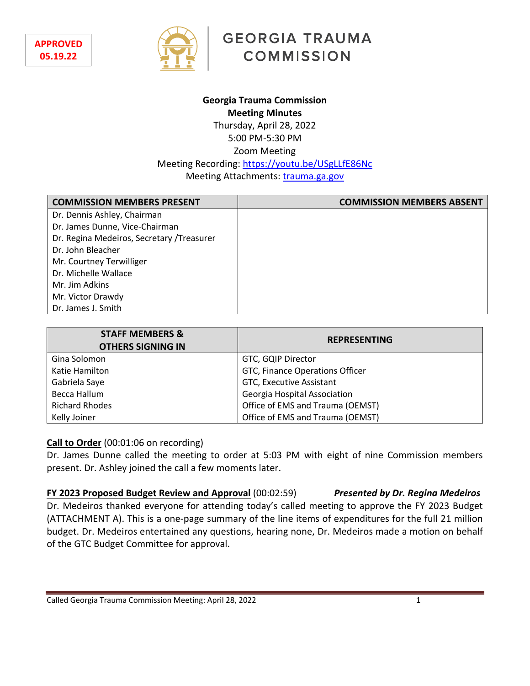

**GEORGIA TRAUMA COMMISSION** 

## **Georgia Trauma Commission Meeting Minutes** Thursday, April 28, 2022 5:00 PM-5:30 PM Zoom Meeting Meeting Recording: https://youtu.be/USgLLfE86Nc Meeting Attachments: trauma.ga.gov

**COMMISSION MEMBERS PRESENT COMMISSION MEMBERS ABSENT** Dr. Dennis Ashley, Chairman Dr. James Dunne, Vice-Chairman Dr. Regina Medeiros, Secretary /Treasurer Dr. John Bleacher Mr. Courtney Terwilliger Dr. Michelle Wallace Mr. Jim Adkins Mr. Victor Drawdy Dr. James J. Smith

| <b>STAFF MEMBERS &amp;</b><br><b>OTHERS SIGNING IN</b> | <b>REPRESENTING</b>              |
|--------------------------------------------------------|----------------------------------|
| Gina Solomon                                           | GTC, GQIP Director               |
| Katie Hamilton                                         | GTC, Finance Operations Officer  |
| Gabriela Saye                                          | GTC, Executive Assistant         |
| Becca Hallum                                           | Georgia Hospital Association     |
| <b>Richard Rhodes</b>                                  | Office of EMS and Trauma (OEMST) |
| Kelly Joiner                                           | Office of EMS and Trauma (OEMST) |

## **Call to Order** (00:01:06 on recording)

Dr. James Dunne called the meeting to order at 5:03 PM with eight of nine Commission members present. Dr. Ashley joined the call a few moments later.

**FY 2023 Proposed Budget Review and Approval** (00:02:59) *Presented by Dr. Regina Medeiros* Dr. Medeiros thanked everyone for attending today's called meeting to approve the FY 2023 Budget (ATTACHMENT A). This is a one-page summary of the line items of expenditures for the full 21 million budget. Dr. Medeiros entertained any questions, hearing none, Dr. Medeiros made a motion on behalf of the GTC Budget Committee for approval.